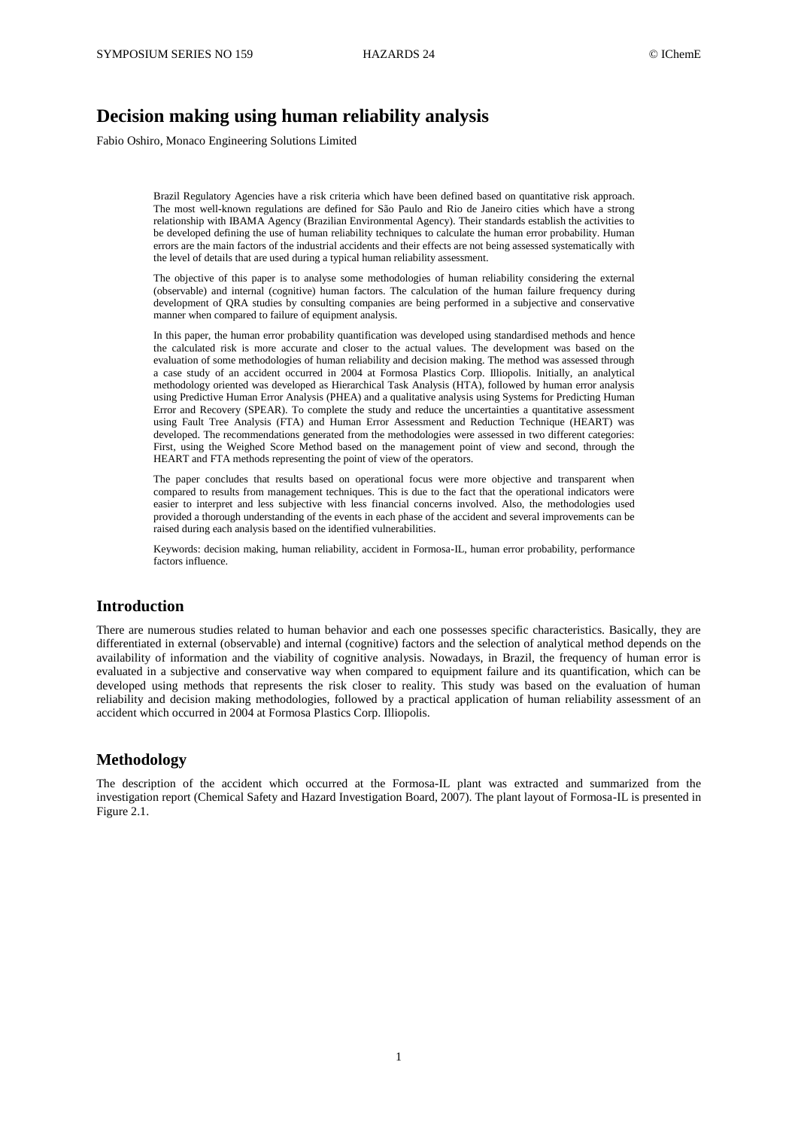# **Decision making using human reliability analysis**

Fabio Oshiro, Monaco Engineering Solutions Limited

Brazil Regulatory Agencies have a risk criteria which have been defined based on quantitative risk approach. The most well-known regulations are defined for São Paulo and Rio de Janeiro cities which have a strong relationship with IBAMA Agency (Brazilian Environmental Agency). Their standards establish the activities to be developed defining the use of human reliability techniques to calculate the human error probability. Human errors are the main factors of the industrial accidents and their effects are not being assessed systematically with the level of details that are used during a typical human reliability assessment.

The objective of this paper is to analyse some methodologies of human reliability considering the external (observable) and internal (cognitive) human factors. The calculation of the human failure frequency during development of QRA studies by consulting companies are being performed in a subjective and conservative manner when compared to failure of equipment analysis.

In this paper, the human error probability quantification was developed using standardised methods and hence the calculated risk is more accurate and closer to the actual values. The development was based on the evaluation of some methodologies of human reliability and decision making. The method was assessed through a case study of an accident occurred in 2004 at Formosa Plastics Corp. Illiopolis. Initially, an analytical methodology oriented was developed as Hierarchical Task Analysis (HTA), followed by human error analysis using Predictive Human Error Analysis (PHEA) and a qualitative analysis using Systems for Predicting Human Error and Recovery (SPEAR). To complete the study and reduce the uncertainties a quantitative assessment using Fault Tree Analysis (FTA) and Human Error Assessment and Reduction Technique (HEART) was developed. The recommendations generated from the methodologies were assessed in two different categories: First, using the Weighed Score Method based on the management point of view and second, through the HEART and FTA methods representing the point of view of the operators.

The paper concludes that results based on operational focus were more objective and transparent when compared to results from management techniques. This is due to the fact that the operational indicators were easier to interpret and less subjective with less financial concerns involved. Also, the methodologies used provided a thorough understanding of the events in each phase of the accident and several improvements can be raised during each analysis based on the identified vulnerabilities.

Keywords: decision making, human reliability, accident in Formosa-IL, human error probability, performance factors influence.

#### **Introduction**

There are numerous studies related to human behavior and each one possesses specific characteristics. Basically, they are differentiated in external (observable) and internal (cognitive) factors and the selection of analytical method depends on the availability of information and the viability of cognitive analysis. Nowadays, in Brazil, the frequency of human error is evaluated in a subjective and conservative way when compared to equipment failure and its quantification, which can be developed using methods that represents the risk closer to reality. This study was based on the evaluation of human reliability and decision making methodologies, followed by a practical application of human reliability assessment of an accident which occurred in 2004 at Formosa Plastics Corp. Illiopolis.

#### **Methodology**

The description of the accident which occurred at the Formosa-IL plant was extracted and summarized from the investigation report (Chemical Safety and Hazard Investigation Board, 2007). The plant layout of Formosa-IL is presented in Figure 2.1.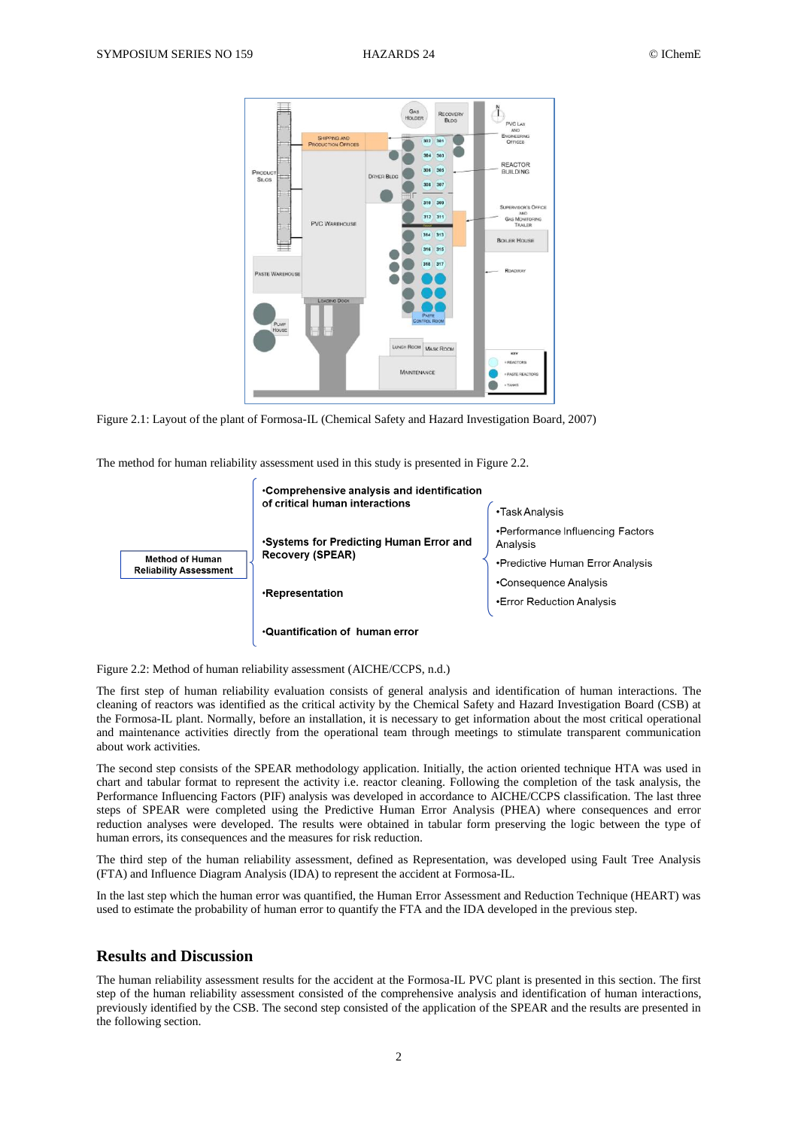

Figure 2.1: Layout of the plant of Formosa-IL (Chemical Safety and Hazard Investigation Board, 2007)

The method for human reliability assessment used in this study is presented in Figure 2.2.



Figure 2.2: Method of human reliability assessment (AICHE/CCPS, n.d.)

The first step of human reliability evaluation consists of general analysis and identification of human interactions. The cleaning of reactors was identified as the critical activity by the Chemical Safety and Hazard Investigation Board (CSB) at the Formosa-IL plant. Normally, before an installation, it is necessary to get information about the most critical operational and maintenance activities directly from the operational team through meetings to stimulate transparent communication about work activities.

The second step consists of the SPEAR methodology application. Initially, the action oriented technique HTA was used in chart and tabular format to represent the activity i.e. reactor cleaning. Following the completion of the task analysis, the Performance Influencing Factors (PIF) analysis was developed in accordance to AICHE/CCPS classification. The last three steps of SPEAR were completed using the Predictive Human Error Analysis (PHEA) where consequences and error reduction analyses were developed. The results were obtained in tabular form preserving the logic between the type of human errors, its consequences and the measures for risk reduction.

The third step of the human reliability assessment, defined as Representation, was developed using Fault Tree Analysis (FTA) and Influence Diagram Analysis (IDA) to represent the accident at Formosa-IL.

In the last step which the human error was quantified, the Human Error Assessment and Reduction Technique (HEART) was used to estimate the probability of human error to quantify the FTA and the IDA developed in the previous step.

## **Results and Discussion**

The human reliability assessment results for the accident at the Formosa-IL PVC plant is presented in this section. The first step of the human reliability assessment consisted of the comprehensive analysis and identification of human interactions, previously identified by the CSB. The second step consisted of the application of the SPEAR and the results are presented in the following section.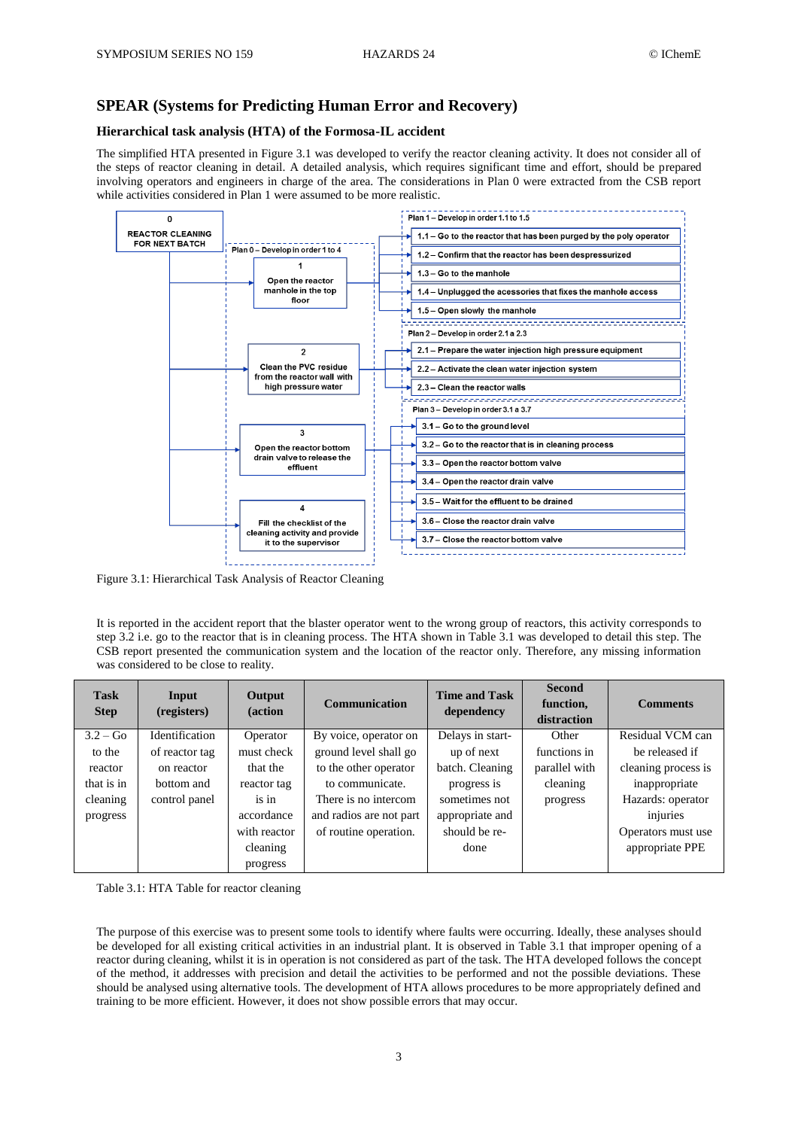# **SPEAR (Systems for Predicting Human Error and Recovery)**

### **Hierarchical task analysis (HTA) of the Formosa-IL accident**

The simplified HTA presented in Figure 3.1 was developed to verify the reactor cleaning activity. It does not consider all of the steps of reactor cleaning in detail. A detailed analysis, which requires significant time and effort, should be prepared involving operators and engineers in charge of the area. The considerations in Plan 0 were extracted from the CSB report while activities considered in Plan 1 were assumed to be more realistic.



Figure 3.1: Hierarchical Task Analysis of Reactor Cleaning

It is reported in the accident report that the blaster operator went to the wrong group of reactors, this activity corresponds to step 3.2 i.e. go to the reactor that is in cleaning process. The HTA shown in Table 3.1 was developed to detail this step. The CSB report presented the communication system and the location of the reactor only. Therefore, any missing information was considered to be close to reality.

| <b>Task</b><br><b>Step</b> | Input<br>(registers) | Output<br>(action | <b>Communication</b>    | <b>Time and Task</b><br>dependency | <b>Second</b><br>function,<br>distraction | <b>Comments</b>     |
|----------------------------|----------------------|-------------------|-------------------------|------------------------------------|-------------------------------------------|---------------------|
| $3.2 - Go$                 | Identification       | Operator          | By voice, operator on   | Delays in start-                   | Other                                     | Residual VCM can    |
| to the                     | of reactor tag       | must check        | ground level shall go   | up of next                         | functions in                              | be released if      |
| reactor                    | on reactor           | that the          | to the other operator   | batch. Cleaning                    | parallel with                             | cleaning process is |
| that is in                 | bottom and           | reactor tag       | to communicate.         | progress is                        | cleaning                                  | inappropriate       |
| cleaning                   | control panel        | is in             | There is no intercom    | sometimes not                      | progress                                  | Hazards: operator   |
| progress                   |                      | accordance        | and radios are not part | appropriate and                    |                                           | injuries            |
|                            |                      | with reactor      | of routine operation.   | should be re-                      |                                           | Operators must use  |
|                            |                      | cleaning          |                         | done                               |                                           | appropriate PPE     |
|                            |                      | progress          |                         |                                    |                                           |                     |

Table 3.1: HTA Table for reactor cleaning

The purpose of this exercise was to present some tools to identify where faults were occurring. Ideally, these analyses should be developed for all existing critical activities in an industrial plant. It is observed in Table 3.1 that improper opening of a reactor during cleaning, whilst it is in operation is not considered as part of the task. The HTA developed follows the concept of the method, it addresses with precision and detail the activities to be performed and not the possible deviations. These should be analysed using alternative tools. The development of HTA allows procedures to be more appropriately defined and training to be more efficient. However, it does not show possible errors that may occur.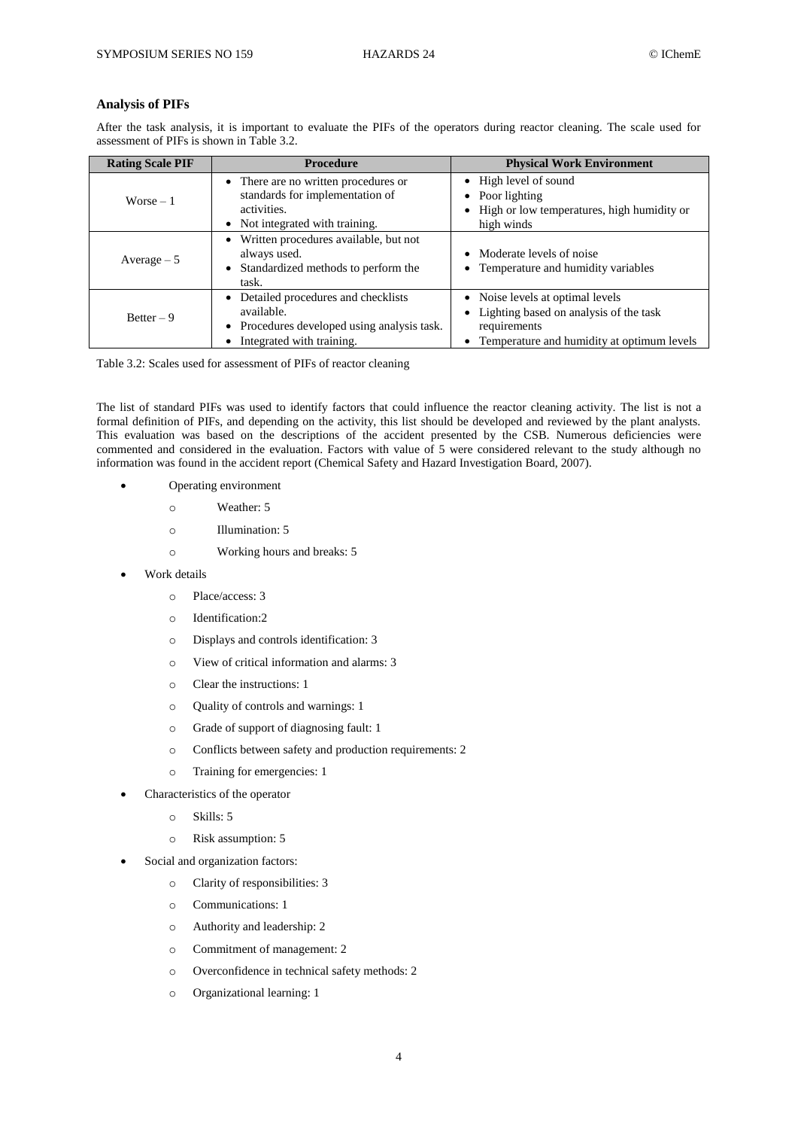#### **Analysis of PIFs**

After the task analysis, it is important to evaluate the PIFs of the operators during reactor cleaning. The scale used for assessment of PIFs is shown in Table 3.2.

| <b>Rating Scale PIF</b> | <b>Procedure</b>                                                                                                               | <b>Physical Work Environment</b>                                                                                                                           |
|-------------------------|--------------------------------------------------------------------------------------------------------------------------------|------------------------------------------------------------------------------------------------------------------------------------------------------------|
| $Worse - 1$             | • There are no written procedures or<br>standards for implementation of<br>activities.<br>• Not integrated with training.      | • High level of sound<br>$\bullet$ Poor lighting<br>• High or low temperatures, high humidity or<br>high winds                                             |
| Average $-5$            | • Written procedures available, but not<br>always used.<br>• Standardized methods to perform the<br>task.                      | • Moderate levels of noise<br>• Temperature and humidity variables                                                                                         |
| $Better - 9$            | • Detailed procedures and checklists<br>available.<br>• Procedures developed using analysis task.<br>Integrated with training. | • Noise levels at optimal levels<br>Lighting based on analysis of the task<br>٠<br>requirements<br>Temperature and humidity at optimum levels<br>$\bullet$ |

Table 3.2: Scales used for assessment of PIFs of reactor cleaning

The list of standard PIFs was used to identify factors that could influence the reactor cleaning activity. The list is not a formal definition of PIFs, and depending on the activity, this list should be developed and reviewed by the plant analysts. This evaluation was based on the descriptions of the accident presented by the CSB. Numerous deficiencies were commented and considered in the evaluation. Factors with value of 5 were considered relevant to the study although no information was found in the accident report (Chemical Safety and Hazard Investigation Board, 2007).

- Operating environment
	- o Weather: 5
	- o Illumination: 5
	- o Working hours and breaks: 5
- Work details
	- o Place/access: 3
	- o Identification:2
	- o Displays and controls identification: 3
	- o View of critical information and alarms: 3
	- o Clear the instructions: 1
	- o Quality of controls and warnings: 1
	- o Grade of support of diagnosing fault: 1
	- o Conflicts between safety and production requirements: 2
	- o Training for emergencies: 1
	- Characteristics of the operator
		- o Skills: 5
		- o Risk assumption: 5
- Social and organization factors:
	- o Clarity of responsibilities: 3
	- o Communications: 1
	- o Authority and leadership: 2
	- o Commitment of management: 2
	- o Overconfidence in technical safety methods: 2
	- o Organizational learning: 1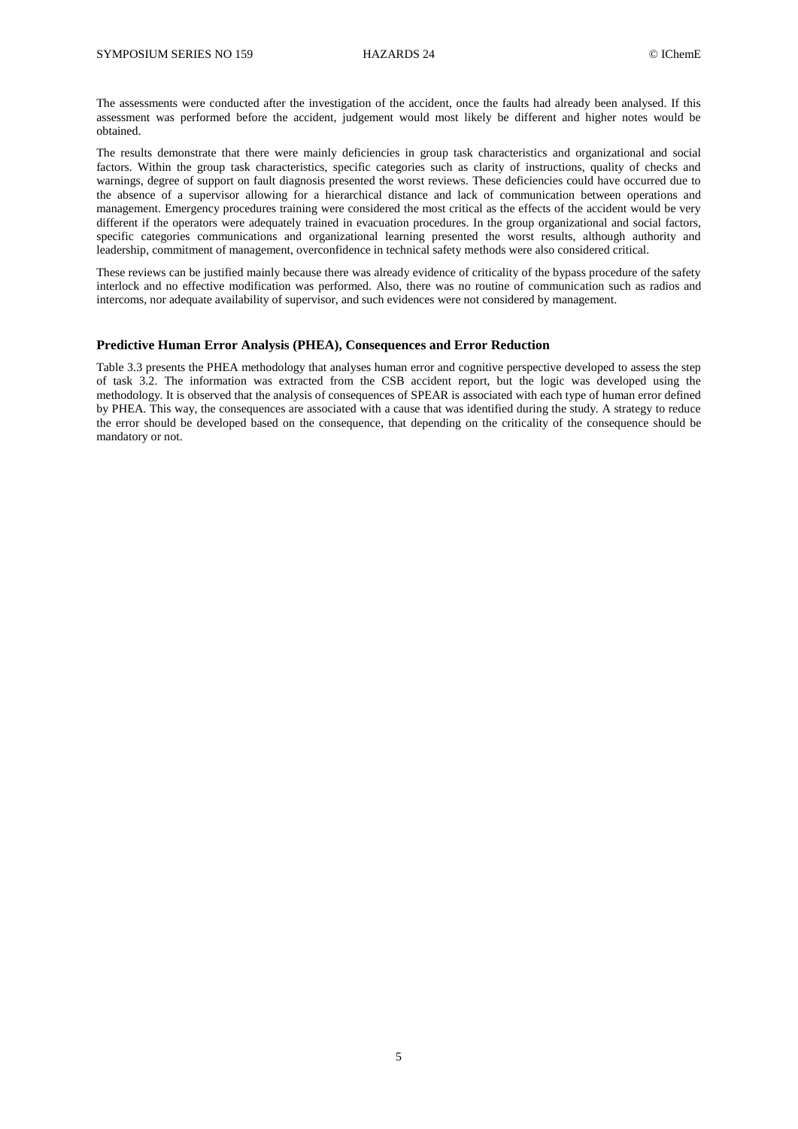The assessments were conducted after the investigation of the accident, once the faults had already been analysed. If this assessment was performed before the accident, judgement would most likely be different and higher notes would be obtained.

The results demonstrate that there were mainly deficiencies in group task characteristics and organizational and social factors. Within the group task characteristics, specific categories such as clarity of instructions, quality of checks and warnings, degree of support on fault diagnosis presented the worst reviews. These deficiencies could have occurred due to the absence of a supervisor allowing for a hierarchical distance and lack of communication between operations and management. Emergency procedures training were considered the most critical as the effects of the accident would be very different if the operators were adequately trained in evacuation procedures. In the group organizational and social factors, specific categories communications and organizational learning presented the worst results, although authority and leadership, commitment of management, overconfidence in technical safety methods were also considered critical.

These reviews can be justified mainly because there was already evidence of criticality of the bypass procedure of the safety interlock and no effective modification was performed. Also, there was no routine of communication such as radios and intercoms, nor adequate availability of supervisor, and such evidences were not considered by management.

#### **Predictive Human Error Analysis (PHEA), Consequences and Error Reduction**

Table 3.3 presents the PHEA methodology that analyses human error and cognitive perspective developed to assess the step of task 3.2. The information was extracted from the CSB accident report, but the logic was developed using the methodology. It is observed that the analysis of consequences of SPEAR is associated with each type of human error defined by PHEA. This way, the consequences are associated with a cause that was identified during the study. A strategy to reduce the error should be developed based on the consequence, that depending on the criticality of the consequence should be mandatory or not.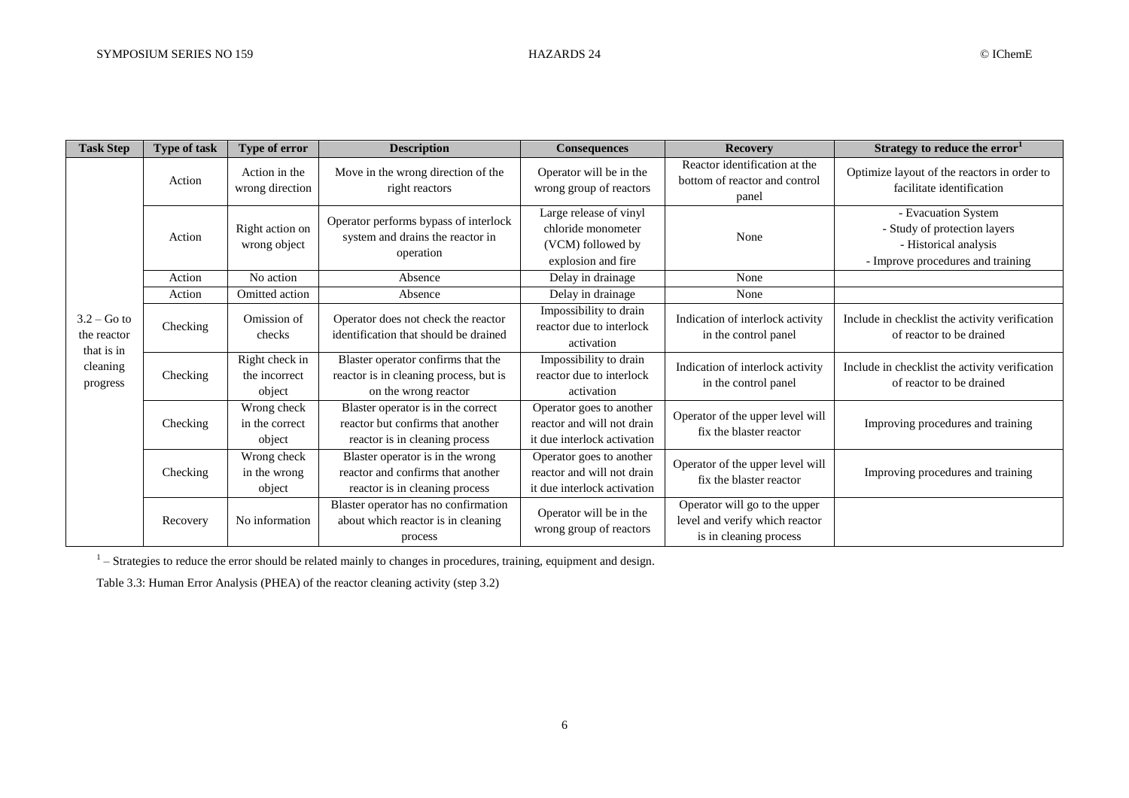| <b>Task Step</b>                                                   | <b>Type of task</b>        | Type of error                                                                                                                                     | <b>Description</b>                                                                                        | <b>Consequences</b>                                                                     | <b>Recovery</b>                                                                           | Strategy to reduce the error <sup>1</sup>                                                                         |  |
|--------------------------------------------------------------------|----------------------------|---------------------------------------------------------------------------------------------------------------------------------------------------|-----------------------------------------------------------------------------------------------------------|-----------------------------------------------------------------------------------------|-------------------------------------------------------------------------------------------|-------------------------------------------------------------------------------------------------------------------|--|
|                                                                    | Action                     | Action in the<br>wrong direction                                                                                                                  | Move in the wrong direction of the<br>right reactors                                                      | Operator will be in the<br>wrong group of reactors                                      | Reactor identification at the<br>bottom of reactor and control<br>panel                   | Optimize layout of the reactors in order to<br>facilitate identification                                          |  |
|                                                                    | Action                     | Right action on<br>wrong object                                                                                                                   | Operator performs bypass of interlock<br>system and drains the reactor in<br>operation                    | Large release of vinyl<br>chloride monometer<br>(VCM) followed by<br>explosion and fire | None                                                                                      | - Evacuation System<br>- Study of protection layers<br>- Historical analysis<br>- Improve procedures and training |  |
|                                                                    | Action                     | No action                                                                                                                                         | Absence                                                                                                   | Delay in drainage                                                                       | None                                                                                      |                                                                                                                   |  |
|                                                                    | Action                     | Omitted action                                                                                                                                    | Absence                                                                                                   | Delay in drainage                                                                       | None                                                                                      |                                                                                                                   |  |
| $3.2 - Go$ to<br>the reactor<br>that is in<br>cleaning<br>progress | Checking                   | Omission of<br>checks                                                                                                                             | Operator does not check the reactor<br>identification that should be drained                              | Impossibility to drain<br>reactor due to interlock<br>activation                        | Indication of interlock activity<br>in the control panel                                  | Include in checklist the activity verification<br>of reactor to be drained                                        |  |
|                                                                    | Checking                   | Right check in<br>Blaster operator confirms that the<br>reactor is in cleaning process, but is<br>the incorrect<br>object<br>on the wrong reactor |                                                                                                           | Impossibility to drain<br>reactor due to interlock<br>activation                        | Indication of interlock activity<br>in the control panel                                  | Include in checklist the activity verification<br>of reactor to be drained                                        |  |
|                                                                    | Checking                   | Wrong check<br>in the correct<br>object                                                                                                           | Blaster operator is in the correct<br>reactor but confirms that another<br>reactor is in cleaning process | Operator goes to another<br>reactor and will not drain<br>it due interlock activation   | Operator of the upper level will<br>fix the blaster reactor                               | Improving procedures and training                                                                                 |  |
|                                                                    | Checking                   | Wrong check<br>in the wrong<br>object                                                                                                             | Blaster operator is in the wrong<br>reactor and confirms that another<br>reactor is in cleaning process   | Operator goes to another<br>reactor and will not drain<br>it due interlock activation   | Operator of the upper level will<br>fix the blaster reactor                               | Improving procedures and training                                                                                 |  |
|                                                                    | No information<br>Recovery |                                                                                                                                                   | Blaster operator has no confirmation<br>about which reactor is in cleaning<br>process                     | Operator will be in the<br>wrong group of reactors                                      | Operator will go to the upper<br>level and verify which reactor<br>is in cleaning process |                                                                                                                   |  |

 $<sup>1</sup>$  – Strategies to reduce the error should be related mainly to changes in procedures, training, equipment and design.</sup>

Table 3.3: Human Error Analysis (PHEA) of the reactor cleaning activity (step 3.2)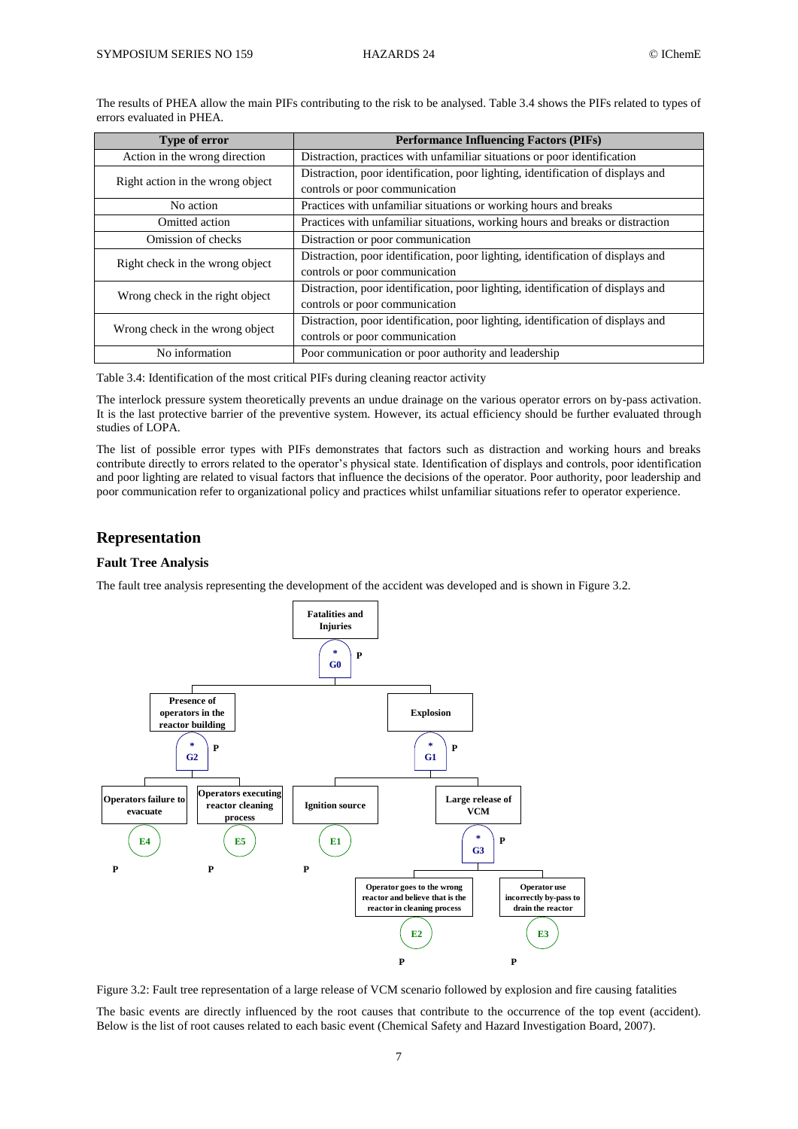The results of PHEA allow the main PIFs contributing to the risk to be analysed. Table 3.4 shows the PIFs related to types of errors evaluated in PHEA.

| Type of error                    | <b>Performance Influencing Factors (PIFs)</b>                                   |  |  |  |
|----------------------------------|---------------------------------------------------------------------------------|--|--|--|
| Action in the wrong direction    | Distraction, practices with unfamiliar situations or poor identification        |  |  |  |
| Right action in the wrong object | Distraction, poor identification, poor lighting, identification of displays and |  |  |  |
|                                  | controls or poor communication                                                  |  |  |  |
| No action                        | Practices with unfamiliar situations or working hours and breaks                |  |  |  |
| Omitted action                   | Practices with unfamiliar situations, working hours and breaks or distraction   |  |  |  |
| Omission of checks               | Distraction or poor communication                                               |  |  |  |
| Right check in the wrong object  | Distraction, poor identification, poor lighting, identification of displays and |  |  |  |
|                                  | controls or poor communication                                                  |  |  |  |
| Wrong check in the right object  | Distraction, poor identification, poor lighting, identification of displays and |  |  |  |
|                                  | controls or poor communication                                                  |  |  |  |
| Wrong check in the wrong object  | Distraction, poor identification, poor lighting, identification of displays and |  |  |  |
|                                  | controls or poor communication                                                  |  |  |  |
| No information                   | Poor communication or poor authority and leadership                             |  |  |  |

Table 3.4: Identification of the most critical PIFs during cleaning reactor activity

The interlock pressure system theoretically prevents an undue drainage on the various operator errors on by-pass activation. It is the last protective barrier of the preventive system. However, its actual efficiency should be further evaluated through studies of LOPA.

The list of possible error types with PIFs demonstrates that factors such as distraction and working hours and breaks contribute directly to errors related to the operator's physical state. Identification of displays and controls, poor identification and poor lighting are related to visual factors that influence the decisions of the operator. Poor authority, poor leadership and poor communication refer to organizational policy and practices whilst unfamiliar situations refer to operator experience.

## **Representation**

#### **Fault Tree Analysis**

The fault tree analysis representing the development of the accident was developed and is shown in Figure 3.2.



Figure 3.2: Fault tree representation of a large release of VCM scenario followed by explosion and fire causing fatalities

The basic events are directly influenced by the root causes that contribute to the occurrence of the top event (accident). Below is the list of root causes related to each basic event (Chemical Safety and Hazard Investigation Board, 2007).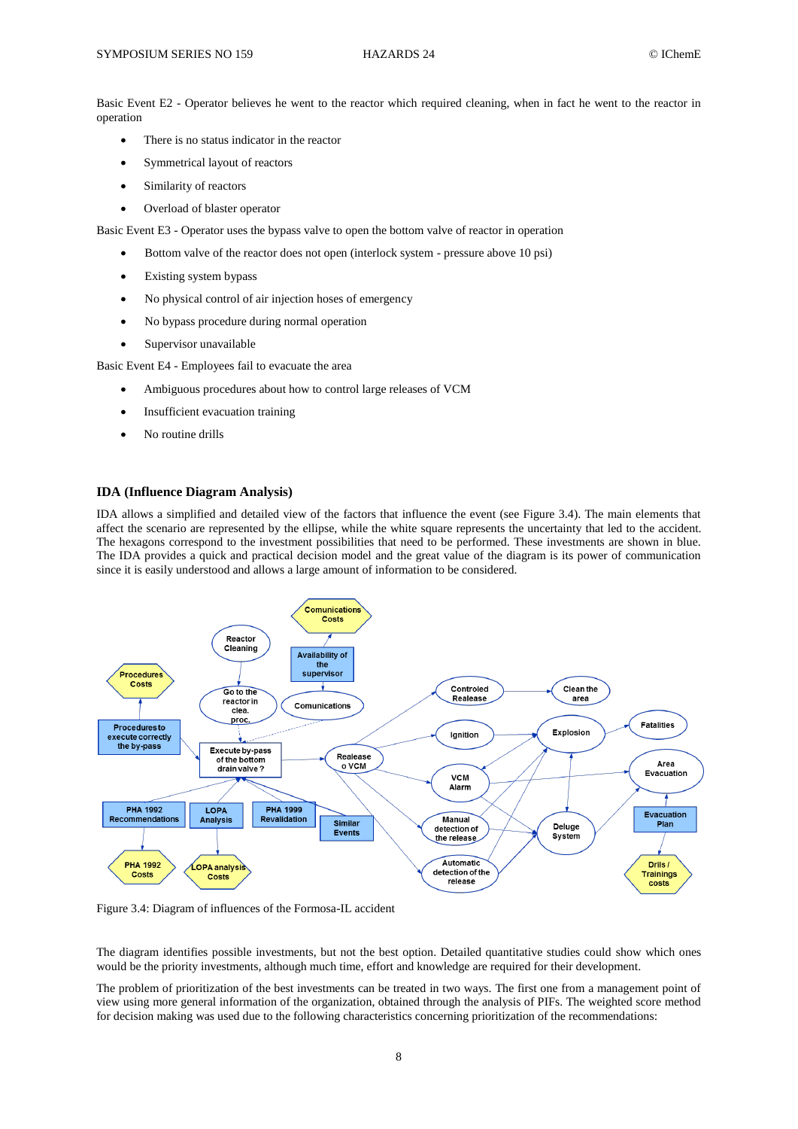Basic Event E2 - Operator believes he went to the reactor which required cleaning, when in fact he went to the reactor in operation

- There is no status indicator in the reactor
- Symmetrical layout of reactors
- Similarity of reactors
- Overload of blaster operator

Basic Event E3 - Operator uses the bypass valve to open the bottom valve of reactor in operation

- Bottom valve of the reactor does not open (interlock system pressure above 10 psi)
- Existing system bypass
- No physical control of air injection hoses of emergency
- No bypass procedure during normal operation
- Supervisor unavailable

Basic Event E4 - Employees fail to evacuate the area

- Ambiguous procedures about how to control large releases of VCM
- Insufficient evacuation training
- No routine drills

#### **IDA (Influence Diagram Analysis)**

IDA allows a simplified and detailed view of the factors that influence the event (see Figure 3.4). The main elements that affect the scenario are represented by the ellipse, while the white square represents the uncertainty that led to the accident. The hexagons correspond to the investment possibilities that need to be performed. These investments are shown in blue. The IDA provides a quick and practical decision model and the great value of the diagram is its power of communication since it is easily understood and allows a large amount of information to be considered.



Figure 3.4: Diagram of influences of the Formosa-IL accident

The diagram identifies possible investments, but not the best option. Detailed quantitative studies could show which ones would be the priority investments, although much time, effort and knowledge are required for their development.

The problem of prioritization of the best investments can be treated in two ways. The first one from a management point of view using more general information of the organization, obtained through the analysis of PIFs. The weighted score method for decision making was used due to the following characteristics concerning prioritization of the recommendations: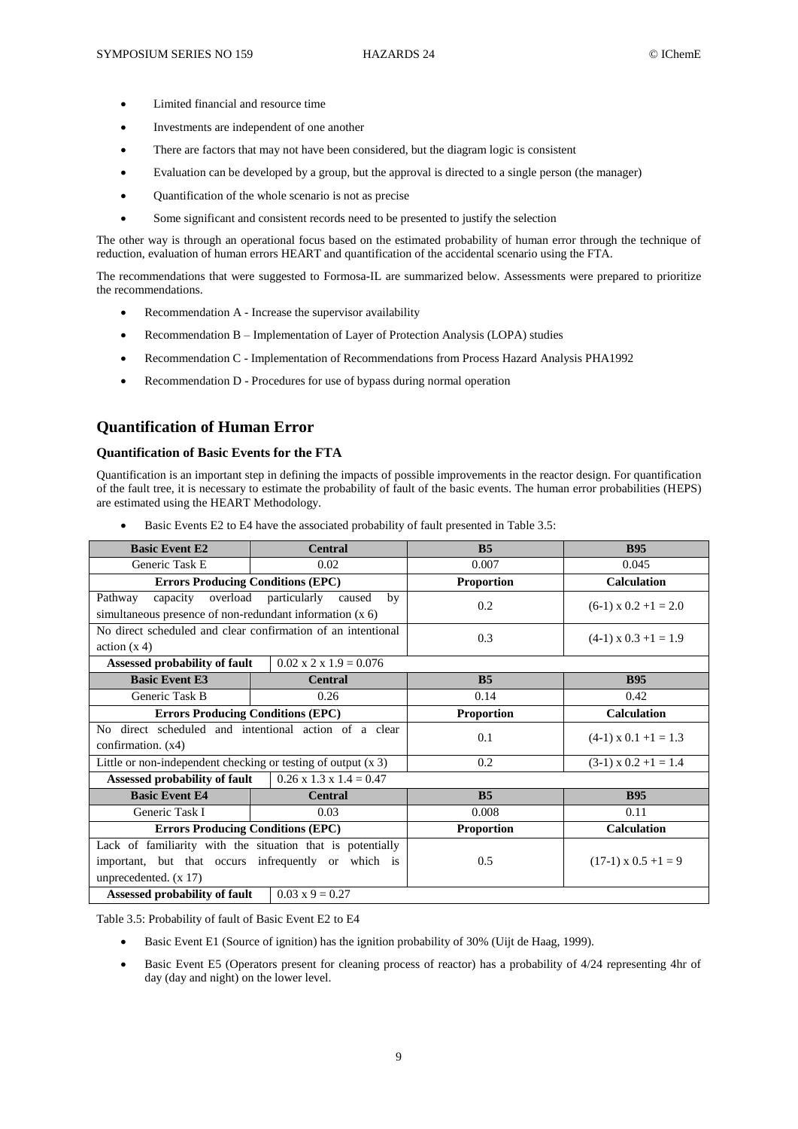- Limited financial and resource time
- Investments are independent of one another
- There are factors that may not have been considered, but the diagram logic is consistent
- Evaluation can be developed by a group, but the approval is directed to a single person (the manager)
- Quantification of the whole scenario is not as precise
- Some significant and consistent records need to be presented to justify the selection

The other way is through an operational focus based on the estimated probability of human error through the technique of reduction, evaluation of human errors HEART and quantification of the accidental scenario using the FTA.

The recommendations that were suggested to Formosa-IL are summarized below. Assessments were prepared to prioritize the recommendations.

- Recommendation A Increase the supervisor availability
- Recommendation B Implementation of Layer of Protection Analysis (LOPA) studies
- Recommendation C Implementation of Recommendations from Process Hazard Analysis PHA1992
- Recommendation D Procedures for use of bypass during normal operation

### **Quantification of Human Error**

#### **Quantification of Basic Events for the FTA**

Quantification is an important step in defining the impacts of possible improvements in the reactor design. For quantification of the fault tree, it is necessary to estimate the probability of fault of the basic events. The human error probabilities (HEPS) are estimated using the HEART Methodology.

| <b>Basic Event E2</b>                                                                                                                        | <b>Central</b>                        | B <sub>5</sub>    | <b>B95</b>                   |  |  |  |  |
|----------------------------------------------------------------------------------------------------------------------------------------------|---------------------------------------|-------------------|------------------------------|--|--|--|--|
| Generic Task E                                                                                                                               | 0.02                                  | 0.007             | 0.045                        |  |  |  |  |
| <b>Errors Producing Conditions (EPC)</b>                                                                                                     |                                       | <b>Proportion</b> | <b>Calculation</b>           |  |  |  |  |
| capacity<br>Pathway<br>simultaneous presence of non-redundant information (x 6)                                                              | overload particularly<br>caused<br>by | 0.2               | $(6-1) \times 0.2 + 1 = 2.0$ |  |  |  |  |
| No direct scheduled and clear confirmation of an intentional<br>action(x 4)                                                                  |                                       | 0.3               | $(4-1) \times 0.3 + 1 = 1.9$ |  |  |  |  |
| Assessed probability of fault                                                                                                                | $0.02 \times 2 \times 1.9 = 0.076$    |                   |                              |  |  |  |  |
| <b>Basic Event E3</b>                                                                                                                        | <b>Central</b>                        | B <sub>5</sub>    | <b>B95</b>                   |  |  |  |  |
| Generic Task B                                                                                                                               | 0.26                                  | 0.14              | 0.42                         |  |  |  |  |
| <b>Errors Producing Conditions (EPC)</b>                                                                                                     |                                       | <b>Proportion</b> | <b>Calculation</b>           |  |  |  |  |
| No direct scheduled and intentional action of a clear<br>confirmation. $(x4)$                                                                |                                       | 0.1               | $(4-1) \times 0.1 + 1 = 1.3$ |  |  |  |  |
| Little or non-independent checking or testing of output $(x 3)$                                                                              |                                       | 0.2               | $(3-1) \times 0.2 + 1 = 1.4$ |  |  |  |  |
| Assessed probability of fault                                                                                                                | $0.26 \times 1.3 \times 1.4 = 0.47$   |                   |                              |  |  |  |  |
| <b>Basic Event E4</b>                                                                                                                        | <b>Central</b>                        | B <sub>5</sub>    | <b>B95</b>                   |  |  |  |  |
| Generic Task I                                                                                                                               | 0.03                                  | 0.008             | 0.11                         |  |  |  |  |
| <b>Errors Producing Conditions (EPC)</b>                                                                                                     |                                       | <b>Proportion</b> | <b>Calculation</b>           |  |  |  |  |
| Lack of familiarity with the situation that is potentially<br>important, but that occurs infrequently or which is<br>unprecedented. $(x 17)$ |                                       | 0.5               | $(17-1) \times 0.5 + 1 = 9$  |  |  |  |  |
| $0.03 \times 9 = 0.27$<br>Assessed probability of fault                                                                                      |                                       |                   |                              |  |  |  |  |

Basic Events E2 to E4 have the associated probability of fault presented in Table 3.5:

Table 3.5: Probability of fault of Basic Event E2 to E4

- Basic Event E1 (Source of ignition) has the ignition probability of 30% (Uijt de Haag, 1999).
- Basic Event E5 (Operators present for cleaning process of reactor) has a probability of 4/24 representing 4hr of day (day and night) on the lower level.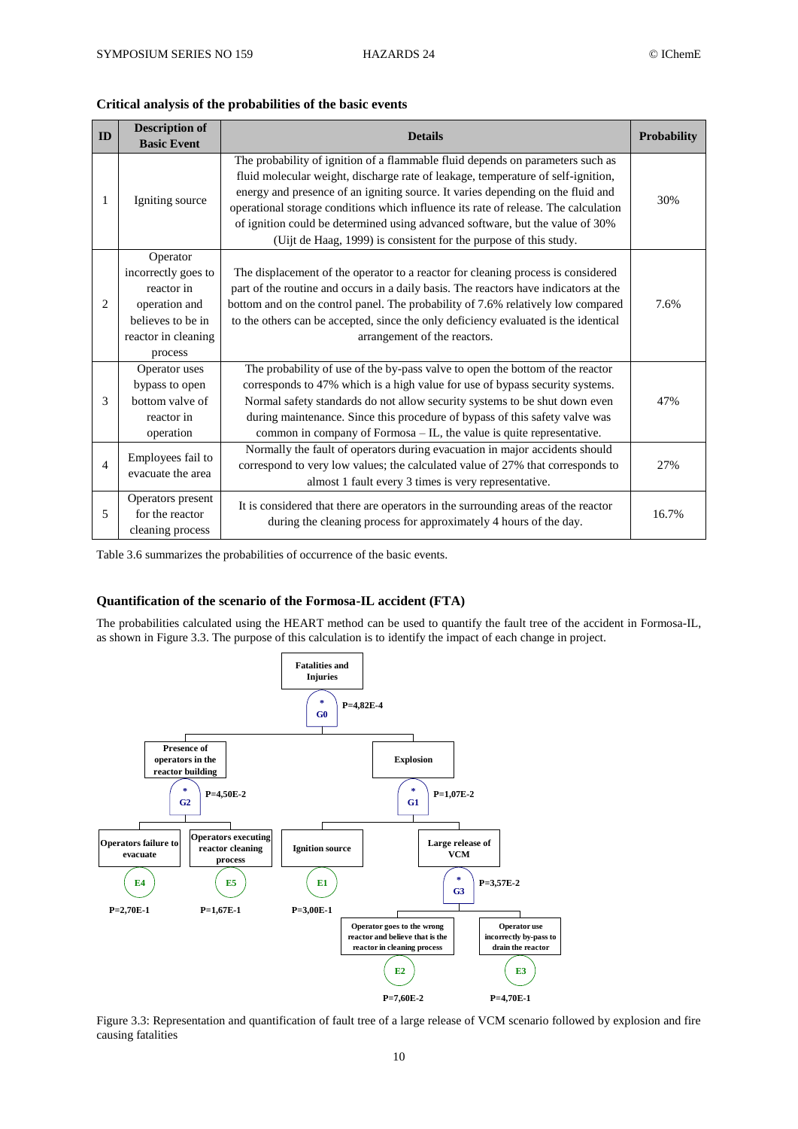#### **Critical analysis of the probabilities of the basic events**

| ${\bf ID}$     | <b>Description of</b><br><b>Basic Event</b> | <b>Probability</b>                                                                                                                                                                                                                                                                                                                                                                                                                                                                                 |       |  |  |  |  |
|----------------|---------------------------------------------|----------------------------------------------------------------------------------------------------------------------------------------------------------------------------------------------------------------------------------------------------------------------------------------------------------------------------------------------------------------------------------------------------------------------------------------------------------------------------------------------------|-------|--|--|--|--|
|                |                                             |                                                                                                                                                                                                                                                                                                                                                                                                                                                                                                    |       |  |  |  |  |
| 1              | Igniting source                             | The probability of ignition of a flammable fluid depends on parameters such as<br>fluid molecular weight, discharge rate of leakage, temperature of self-ignition,<br>energy and presence of an igniting source. It varies depending on the fluid and<br>operational storage conditions which influence its rate of release. The calculation<br>of ignition could be determined using advanced software, but the value of 30%<br>(Uijt de Haag, 1999) is consistent for the purpose of this study. | 30%   |  |  |  |  |
|                | Operator                                    |                                                                                                                                                                                                                                                                                                                                                                                                                                                                                                    |       |  |  |  |  |
|                | incorrectly goes to                         | The displacement of the operator to a reactor for cleaning process is considered                                                                                                                                                                                                                                                                                                                                                                                                                   |       |  |  |  |  |
|                | reactor in                                  | part of the routine and occurs in a daily basis. The reactors have indicators at the                                                                                                                                                                                                                                                                                                                                                                                                               |       |  |  |  |  |
| $\overline{c}$ | operation and                               | bottom and on the control panel. The probability of 7.6% relatively low compared                                                                                                                                                                                                                                                                                                                                                                                                                   |       |  |  |  |  |
|                | believes to be in                           | to the others can be accepted, since the only deficiency evaluated is the identical                                                                                                                                                                                                                                                                                                                                                                                                                |       |  |  |  |  |
|                | reactor in cleaning                         | arrangement of the reactors.                                                                                                                                                                                                                                                                                                                                                                                                                                                                       |       |  |  |  |  |
|                | process                                     |                                                                                                                                                                                                                                                                                                                                                                                                                                                                                                    |       |  |  |  |  |
|                | Operator uses                               | The probability of use of the by-pass valve to open the bottom of the reactor                                                                                                                                                                                                                                                                                                                                                                                                                      |       |  |  |  |  |
|                | bypass to open                              | corresponds to 47% which is a high value for use of bypass security systems.                                                                                                                                                                                                                                                                                                                                                                                                                       |       |  |  |  |  |
| 3              | bottom valve of                             | Normal safety standards do not allow security systems to be shut down even                                                                                                                                                                                                                                                                                                                                                                                                                         | 47%   |  |  |  |  |
|                | reactor in                                  | during maintenance. Since this procedure of bypass of this safety valve was                                                                                                                                                                                                                                                                                                                                                                                                                        |       |  |  |  |  |
|                | operation                                   | common in company of Formosa - IL, the value is quite representative.                                                                                                                                                                                                                                                                                                                                                                                                                              |       |  |  |  |  |
|                |                                             | Normally the fault of operators during evacuation in major accidents should                                                                                                                                                                                                                                                                                                                                                                                                                        |       |  |  |  |  |
| $\overline{4}$ | Employees fail to<br>evacuate the area      | correspond to very low values; the calculated value of 27% that corresponds to                                                                                                                                                                                                                                                                                                                                                                                                                     | 27%   |  |  |  |  |
|                |                                             | almost 1 fault every 3 times is very representative.                                                                                                                                                                                                                                                                                                                                                                                                                                               |       |  |  |  |  |
|                | Operators present                           | It is considered that there are operators in the surrounding areas of the reactor                                                                                                                                                                                                                                                                                                                                                                                                                  |       |  |  |  |  |
| 5              | for the reactor                             | during the cleaning process for approximately 4 hours of the day.                                                                                                                                                                                                                                                                                                                                                                                                                                  | 16.7% |  |  |  |  |
|                | cleaning process                            |                                                                                                                                                                                                                                                                                                                                                                                                                                                                                                    |       |  |  |  |  |

Table 3.6 summarizes the probabilities of occurrence of the basic events.

## **Quantification of the scenario of the Formosa-IL accident (FTA)**

The probabilities calculated using the HEART method can be used to quantify the fault tree of the accident in Formosa-IL, as shown in Figure 3.3. The purpose of this calculation is to identify the impact of each change in project.



Figure 3.3: Representation and quantification of fault tree of a large release of VCM scenario followed by explosion and fire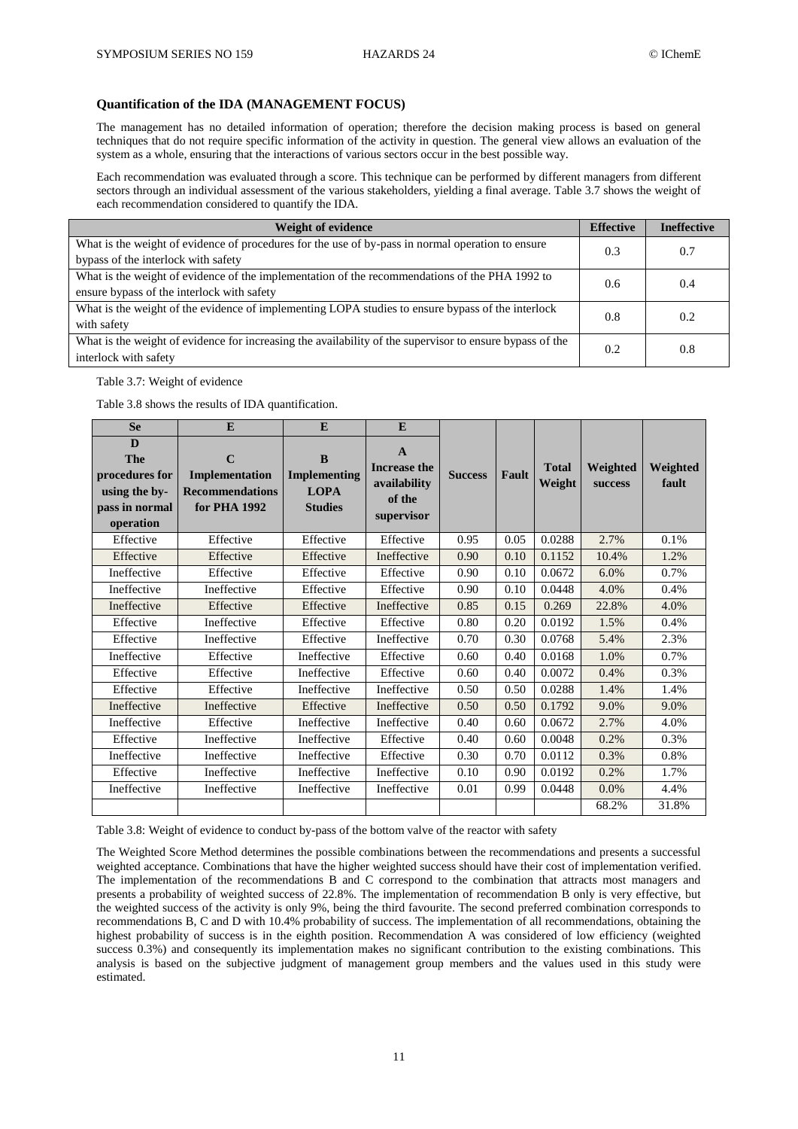#### **Quantification of the IDA (MANAGEMENT FOCUS)**

The management has no detailed information of operation; therefore the decision making process is based on general techniques that do not require specific information of the activity in question. The general view allows an evaluation of the system as a whole, ensuring that the interactions of various sectors occur in the best possible way.

Each recommendation was evaluated through a score. This technique can be performed by different managers from different sectors through an individual assessment of the various stakeholders, yielding a final average. Table 3.7 shows the weight of each recommendation considered to quantify the IDA.

| <b>Weight of evidence</b>                                                                                                                    | <b>Effective</b> | <b>Ineffective</b> |
|----------------------------------------------------------------------------------------------------------------------------------------------|------------------|--------------------|
| What is the weight of evidence of procedures for the use of by-pass in normal operation to ensure<br>bypass of the interlock with safety     | 0.3              | 0.7                |
| What is the weight of evidence of the implementation of the recommendations of the PHA 1992 to<br>ensure bypass of the interlock with safety | 0.6              | 0.4                |
| What is the weight of the evidence of implementing LOPA studies to ensure bypass of the interlock<br>with safety                             | 0.8              | 0.2                |
| What is the weight of evidence for increasing the availability of the supervisor to ensure bypass of the<br>interlock with safety            | 0.2              | 0.8                |

#### Table 3.7: Weight of evidence

Table 3.8 shows the results of IDA quantification.

| <b>Se</b>                                                                  | E                                                                       | E                                                         | E                                                                           |                |       | <b>Total</b><br>Weight | Weighted<br>success | Weighted<br>fault |
|----------------------------------------------------------------------------|-------------------------------------------------------------------------|-----------------------------------------------------------|-----------------------------------------------------------------------------|----------------|-------|------------------------|---------------------|-------------------|
| D<br>The<br>procedures for<br>using the by-<br>pass in normal<br>operation | $\mathbf C$<br>Implementation<br><b>Recommendations</b><br>for PHA 1992 | B<br><b>Implementing</b><br><b>LOPA</b><br><b>Studies</b> | $\mathbf{A}$<br><b>Increase the</b><br>availability<br>of the<br>supervisor | <b>Success</b> | Fault |                        |                     |                   |
| Effective                                                                  | Effective                                                               | Effective                                                 | Effective                                                                   | 0.95           | 0.05  | 0.0288                 | 2.7%                | 0.1%              |
| Effective                                                                  | Effective                                                               | Effective                                                 | Ineffective                                                                 | 0.90           | 0.10  | 0.1152                 | 10.4%               | 1.2%              |
| Ineffective                                                                | Effective                                                               | Effective                                                 | Effective                                                                   | 0.90           | 0.10  | 0.0672                 | 6.0%                | 0.7%              |
| Ineffective                                                                | Ineffective                                                             | Effective                                                 | Effective                                                                   | 0.90           | 0.10  | 0.0448                 | 4.0%                | 0.4%              |
| Ineffective                                                                | Effective                                                               | Effective                                                 | Ineffective                                                                 | 0.85           | 0.15  | 0.269                  | 22.8%               | 4.0%              |
| Effective                                                                  | Ineffective                                                             | Effective                                                 | Effective                                                                   | 0.80           | 0.20  | $\overline{0.0192}$    | 1.5%                | 0.4%              |
| Effective                                                                  | Ineffective                                                             | Effective                                                 | Ineffective                                                                 | 0.70           | 0.30  | 0.0768                 | 5.4%                | 2.3%              |
| Ineffective                                                                | Effective                                                               | Ineffective                                               | Effective                                                                   | 0.60           | 0.40  | 0.0168                 | 1.0%                | 0.7%              |
| Effective                                                                  | Effective                                                               | Ineffective                                               | Effective                                                                   | 0.60           | 0.40  | 0.0072                 | 0.4%                | 0.3%              |
| Effective                                                                  | Effective                                                               | Ineffective                                               | Ineffective                                                                 | 0.50           | 0.50  | 0.0288                 | 1.4%                | 1.4%              |
| Ineffective                                                                | Ineffective                                                             | Effective                                                 | Ineffective                                                                 | 0.50           | 0.50  | 0.1792                 | 9.0%                | 9.0%              |
| Ineffective                                                                | Effective                                                               | Ineffective                                               | Ineffective                                                                 | 0.40           | 0.60  | 0.0672                 | 2.7%                | 4.0%              |
| Effective                                                                  | Ineffective                                                             | Ineffective                                               | Effective                                                                   | 0.40           | 0.60  | 0.0048                 | 0.2%                | 0.3%              |
| Ineffective                                                                | Ineffective                                                             | Ineffective                                               | Effective                                                                   | 0.30           | 0.70  | 0.0112                 | 0.3%                | 0.8%              |
| Effective                                                                  | Ineffective                                                             | Ineffective                                               | Ineffective                                                                 | 0.10           | 0.90  | 0.0192                 | 0.2%                | 1.7%              |
| Ineffective                                                                | Ineffective                                                             | Ineffective                                               | Ineffective                                                                 | 0.01           | 0.99  | 0.0448                 | 0.0%                | 4.4%              |
|                                                                            |                                                                         |                                                           |                                                                             |                |       |                        | 68.2%               | 31.8%             |

Table 3.8: Weight of evidence to conduct by-pass of the bottom valve of the reactor with safety

The Weighted Score Method determines the possible combinations between the recommendations and presents a successful weighted acceptance. Combinations that have the higher weighted success should have their cost of implementation verified. The implementation of the recommendations B and C correspond to the combination that attracts most managers and presents a probability of weighted success of 22.8%. The implementation of recommendation B only is very effective, but the weighted success of the activity is only 9%, being the third favourite. The second preferred combination corresponds to recommendations B, C and D with 10.4% probability of success. The implementation of all recommendations, obtaining the highest probability of success is in the eighth position. Recommendation A was considered of low efficiency (weighted success 0.3%) and consequently its implementation makes no significant contribution to the existing combinations. This analysis is based on the subjective judgment of management group members and the values used in this study were estimated.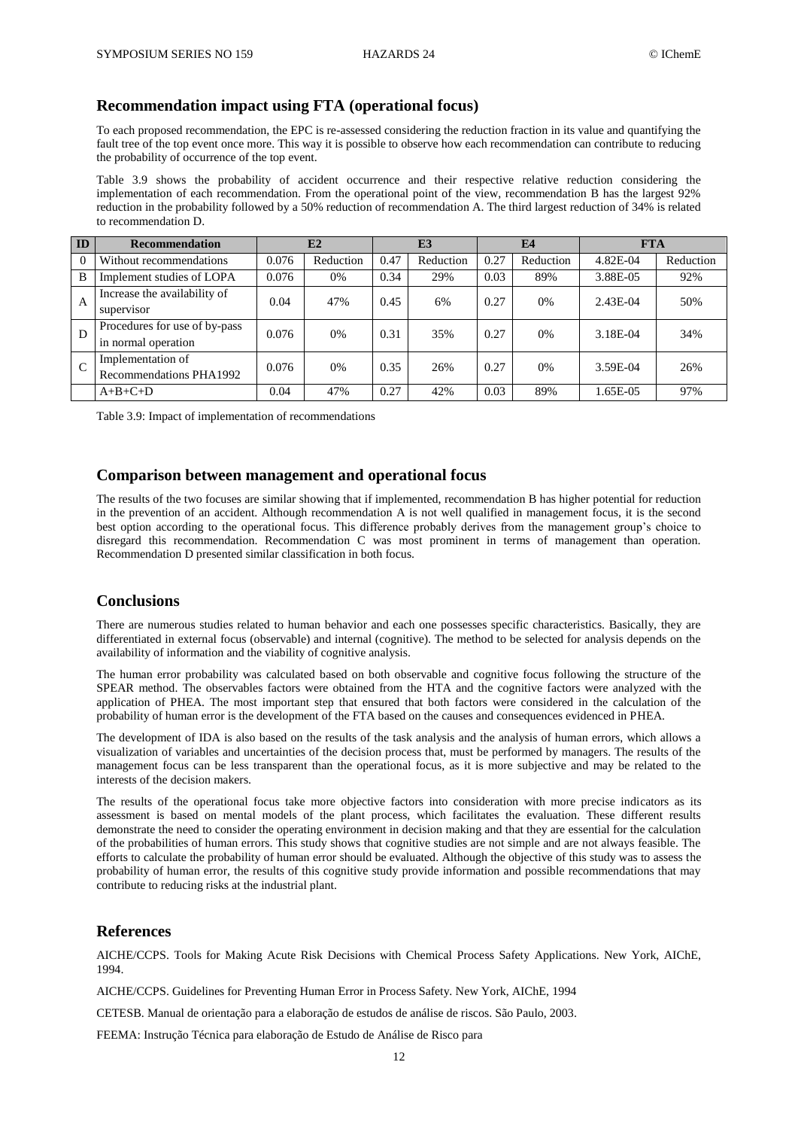# **Recommendation impact using FTA (operational focus)**

To each proposed recommendation, the EPC is re-assessed considering the reduction fraction in its value and quantifying the fault tree of the top event once more. This way it is possible to observe how each recommendation can contribute to reducing the probability of occurrence of the top event.

Table 3.9 shows the probability of accident occurrence and their respective relative reduction considering the implementation of each recommendation. From the operational point of the view, recommendation B has the largest 92% reduction in the probability followed by a 50% reduction of recommendation A. The third largest reduction of 34% is related to recommendation D.

| ID       | Recommendation                                       |       | E2        |      | E3        | <b>E4</b> |           | <b>FTA</b> |           |
|----------|------------------------------------------------------|-------|-----------|------|-----------|-----------|-----------|------------|-----------|
| $\Omega$ | Without recommendations                              | 0.076 | Reduction | 0.47 | Reduction | 0.27      | Reduction | 4.82E-04   | Reduction |
| B        | Implement studies of LOPA                            | 0.076 | $0\%$     | 0.34 | 29%       | 0.03      | 89%       | 3.88E-05   | 92%       |
| A        | Increase the availability of<br>supervisor           | 0.04  | 47%       | 0.45 | 6%        | 0.27      | 0%        | $2.43E-04$ | 50%       |
| D        | Procedures for use of by-pass<br>in normal operation | 0.076 | 0%        | 0.31 | 35%       | 0.27      | 0%        | 3.18E-04   | 34%       |
|          | Implementation of<br>Recommendations PHA1992         | 0.076 | 0%        | 0.35 | 26%       | 0.27      | 0%        | 3.59E-04   | 26%       |
|          | $A+B+C+D$                                            | 0.04  | 47%       | 0.27 | 42%       | 0.03      | 89%       | .65E-05    | 97%       |

Table 3.9: Impact of implementation of recommendations

# **Comparison between management and operational focus**

The results of the two focuses are similar showing that if implemented, recommendation B has higher potential for reduction in the prevention of an accident. Although recommendation A is not well qualified in management focus, it is the second best option according to the operational focus. This difference probably derives from the management group's choice to disregard this recommendation. Recommendation C was most prominent in terms of management than operation. Recommendation D presented similar classification in both focus.

# **Conclusions**

There are numerous studies related to human behavior and each one possesses specific characteristics. Basically, they are differentiated in external focus (observable) and internal (cognitive). The method to be selected for analysis depends on the availability of information and the viability of cognitive analysis.

The human error probability was calculated based on both observable and cognitive focus following the structure of the SPEAR method. The observables factors were obtained from the HTA and the cognitive factors were analyzed with the application of PHEA. The most important step that ensured that both factors were considered in the calculation of the probability of human error is the development of the FTA based on the causes and consequences evidenced in PHEA.

The development of IDA is also based on the results of the task analysis and the analysis of human errors, which allows a visualization of variables and uncertainties of the decision process that, must be performed by managers. The results of the management focus can be less transparent than the operational focus, as it is more subjective and may be related to the interests of the decision makers.

The results of the operational focus take more objective factors into consideration with more precise indicators as its assessment is based on mental models of the plant process, which facilitates the evaluation. These different results demonstrate the need to consider the operating environment in decision making and that they are essential for the calculation of the probabilities of human errors. This study shows that cognitive studies are not simple and are not always feasible. The efforts to calculate the probability of human error should be evaluated. Although the objective of this study was to assess the probability of human error, the results of this cognitive study provide information and possible recommendations that may contribute to reducing risks at the industrial plant.

# **References**

AICHE/CCPS. Tools for Making Acute Risk Decisions with Chemical Process Safety Applications. New York, AIChE, 1994.

AICHE/CCPS. Guidelines for Preventing Human Error in Process Safety. New York, AIChE, 1994

CETESB. Manual de orientação para a elaboração de estudos de análise de riscos. São Paulo, 2003.

FEEMA: Instrução Técnica para elaboração de Estudo de Análise de Risco para